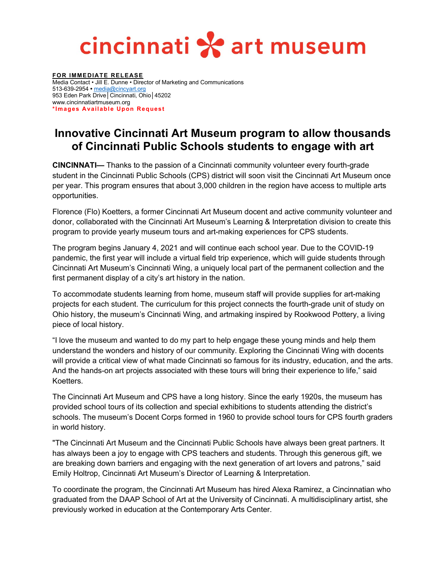## cincinnati \* art museum

**FOR IMMEDIATE RELEASE** Media Contact • Jill E. Dunne • Director of Marketing and Communications 513-639-2954 **•** [media@cincyart.org](mailto:media@cincyart.org) 953 Eden Park Drive│Cincinnati, Ohio│45202 www.cincinnatiartmuseum.org **\*Images Available Upon Request**

## **Innovative Cincinnati Art Museum program to allow thousands of Cincinnati Public Schools students to engage with art**

**CINCINNATI—** Thanks to the passion of a Cincinnati community volunteer every fourth-grade student in the Cincinnati Public Schools (CPS) district will soon visit the Cincinnati Art Museum once per year. This program ensures that about 3,000 children in the region have access to multiple arts opportunities.

Florence (Flo) Koetters, a former Cincinnati Art Museum docent and active community volunteer and donor, collaborated with the Cincinnati Art Museum's Learning & Interpretation division to create this program to provide yearly museum tours and art-making experiences for CPS students.

The program begins January 4, 2021 and will continue each school year. Due to the COVID-19 pandemic, the first year will include a virtual field trip experience, which will guide students through Cincinnati Art Museum's Cincinnati Wing, a uniquely local part of the permanent collection and the first permanent display of a city's art history in the nation.

To accommodate students learning from home, museum staff will provide supplies for art-making projects for each student. The curriculum for this project connects the fourth-grade unit of study on Ohio history, the museum's Cincinnati Wing, and artmaking inspired by Rookwood Pottery, a living piece of local history.

"I love the museum and wanted to do my part to help engage these young minds and help them understand the wonders and history of our community. Exploring the Cincinnati Wing with docents will provide a critical view of what made Cincinnati so famous for its industry, education, and the arts. And the hands-on art projects associated with these tours will bring their experience to life," said Koetters.

The Cincinnati Art Museum and CPS have a long history. Since the early 1920s, the museum has provided school tours of its collection and special exhibitions to students attending the district's schools. The museum's Docent Corps formed in 1960 to provide school tours for CPS fourth graders in world history.

"The Cincinnati Art Museum and the Cincinnati Public Schools have always been great partners. It has always been a joy to engage with CPS teachers and students. Through this generous gift, we are breaking down barriers and engaging with the next generation of art lovers and patrons," said Emily Holtrop, Cincinnati Art Museum's Director of Learning & Interpretation.

To coordinate the program, the Cincinnati Art Museum has hired Alexa Ramirez, a Cincinnatian who graduated from the DAAP School of Art at the University of Cincinnati. A multidisciplinary artist, she previously worked in education at the Contemporary Arts Center.